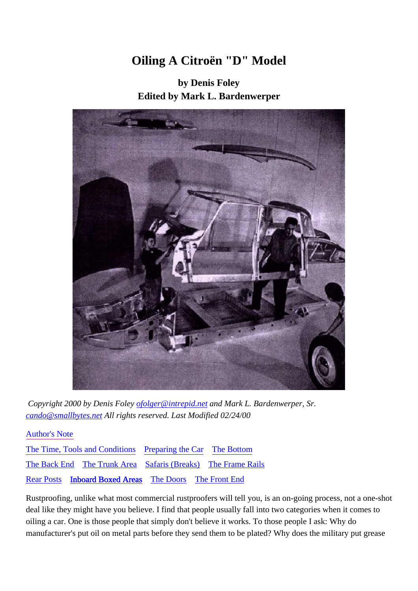# **Oiling A Citroën "D" Model**

**by Denis Foley Edited by Mark L. Bardenwerper**



 *Copyright 2000 by Denis Foley ofolger@intrepid.net and Mark L. Bardenwerper, Sr. cando@smallbytes.net All rights reserved. Last Modified 02/24/00*

Author's Note The Time, Tools and Conditions Preparing the Car The Bottom The Back End The Trunk Area Safaris (Breaks) The Frame Rails

Rear Posts Inboard Boxed Areas The Doors The Front End

Rustproofing, unlike what most commercial rustproofers will tell you, is an on-going process, not a one-shot deal like they might have you believe. I find that people usually fall into two categories when it comes to oiling a car. One is those people that simply don't believe it works. To those people I ask: Why do manufacturer's put oil on metal parts before they send them to be plated? Why does the military put grease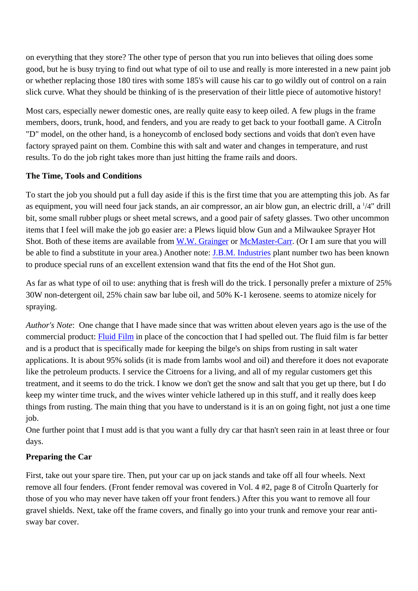on everything that they store? The other type of person that you run into believes that oiling does some good, but he is busy trying to find out what type of oil to use and really is more interested in a new paint job or whether replacing those 180 tires with some 185's will cause his car to go wildly out of control on a rain slick curve. What they should be thinking of is the preservation of their little piece of automotive history!

Most cars, especially newer domestic ones, are really quite easy to keep oiled. A few plugs in the frame members, doors, trunk, hood, and fenders, and you are ready to get back to your football game. A CitroÎn "D" model, on the other hand, is a honeycomb of enclosed body sections and voids that don't even have factory sprayed paint on them. Combine this with salt and water and changes in temperature, and rust results. To do the job right takes more than just hitting the frame rails and doors.

# **The Time, Tools and Conditions**

To start the job you should put a full day aside if this is the first time that you are attempting this job. As far as equipment, you will need four jack stands, an air compressor, an air blow gun, an electric drill, a 1 /4" drill bit, some small rubber plugs or sheet metal screws, and a good pair of safety glasses. Two other uncommon items that I feel will make the job go easier are: a Plews liquid blow Gun and a Milwaukee Sprayer Hot Shot. Both of these items are available from W.W. Grainger or McMaster-Carr. (Or I am sure that you will be able to find a substitute in your area.) Another note: J.B.M. Industries plant number two has been known to produce special runs of an excellent extension wand that fits the end of the Hot Shot gun.

As far as what type of oil to use: anything that is fresh will do the trick. I personally prefer a mixture of 25% 30W non-detergent oil, 25% chain saw bar lube oil, and 50% K-1 kerosene. seems to atomize nicely for spraying.

*Author's Note*: One change that I have made since that was written about eleven years ago is the use of the commercial product: **Fluid Film** in place of the concoction that I had spelled out. The fluid film is far better and is a product that is specifically made for keeping the bilge's on ships from rusting in salt water applications. It is about 95% solids (it is made from lambs wool and oil) and therefore it does not evaporate like the petroleum products. I service the Citroens for a living, and all of my regular customers get this treatment, and it seems to do the trick. I know we don't get the snow and salt that you get up there, but I do keep my winter time truck, and the wives winter vehicle lathered up in this stuff, and it really does keep things from rusting. The main thing that you have to understand is it is an on going fight, not just a one time job.

One further point that I must add is that you want a fully dry car that hasn't seen rain in at least three or four days.

# **Preparing the Car**

First, take out your spare tire. Then, put your car up on jack stands and take off all four wheels. Next remove all four fenders. (Front fender removal was covered in Vol. 4 #2, page 8 of CitroÎn Quarterly for those of you who may never have taken off your front fenders.) After this you want to remove all four gravel shields. Next, take off the frame covers, and finally go into your trunk and remove your rear antisway bar cover.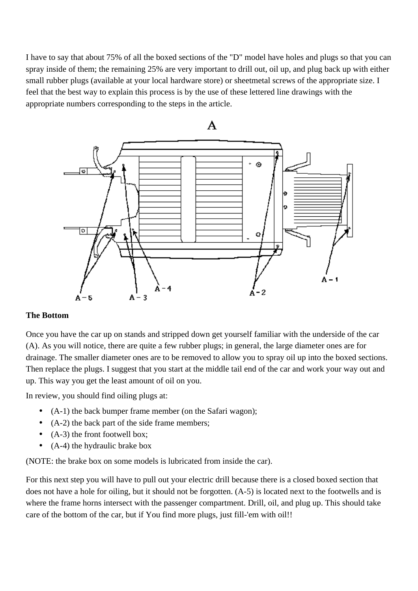I have to say that about 75% of all the boxed sections of the "D" model have holes and plugs so that you can spray inside of them; the remaining 25% are very important to drill out, oil up, and plug back up with either small rubber plugs (available at your local hardware store) or sheetmetal screws of the appropriate size. I feel that the best way to explain this process is by the use of these lettered line drawings with the appropriate numbers corresponding to the steps in the article.



## **The Bottom**

Once you have the car up on stands and stripped down get yourself familiar with the underside of the car (A). As you will notice, there are quite a few rubber plugs; in general, the large diameter ones are for drainage. The smaller diameter ones are to be removed to allow you to spray oil up into the boxed sections. Then replace the plugs. I suggest that you start at the middle tail end of the car and work your way out and up. This way you get the least amount of oil on you.

In review, you should find oiling plugs at:

- (A-1) the back bumper frame member (on the Safari wagon);
- (A-2) the back part of the side frame members;
- (A-3) the front footwell box;
- (A-4) the hydraulic brake box

(NOTE: the brake box on some models is lubricated from inside the car).

For this next step you will have to pull out your electric drill because there is a closed boxed section that does not have a hole for oiling, but it should not be forgotten. (A-5) is located next to the footwells and is where the frame horns intersect with the passenger compartment. Drill, oil, and plug up. This should take care of the bottom of the car, but if You find more plugs, just fill-'em with oil!!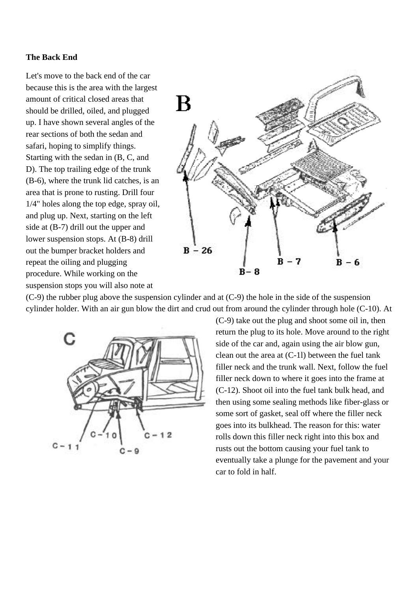## <span id="page-3-0"></span>**The Back End**

Let's move to the back end of the car because this is the area with the largest amount of critical closed areas that should be drilled, oiled, and plugged up. I have shown several angles of the rear sections of both the sedan and safari, hoping to simplify things. Starting with the sedan in (B, C, and D). The top trailing edge of the trunk (B-6), where the trunk lid catches, is an area that is prone to rusting. Drill four 1/4" holes along the top edge, spray oil, and plug up. Next, starting on the left side at (B-7) drill out the upper and lower suspension stops. At (B-8) drill out the bumper bracket holders and repeat the oiling and plugging procedure. While working on the suspension stops you will also note at



(C-9) the rubber plug above the suspension cylinder and at (C-9) the hole in the side of the suspension cylinder holder. With an air gun blow the dirt and crud out from around the cylinder through hole (C-10). At



(C-9) take out the plug and shoot some oil in, then return the plug to its hole. Move around to the right side of the car and, again using the air blow gun, clean out the area at (C-1l) between the fuel tank filler neck and the trunk wall. Next, follow the fuel filler neck down to where it goes into the frame at (C-12). Shoot oil into the fuel tank bulk head, and then using some sealing methods like fiber-glass or some sort of gasket, seal off where the filler neck goes into its bulkhead. The reason for this: water rolls down this filler neck right into this box and rusts out the bottom causing your fuel tank to eventually take a plunge for the pavement and your car to fold in half.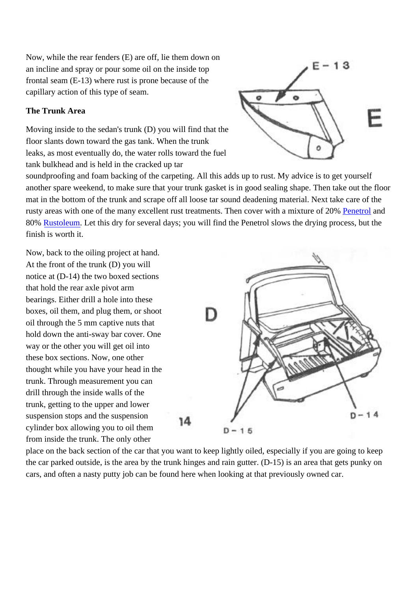Now, while the rear fenders (E) are off, lie them down on an incline and spray or pour some oil on the inside top frontal seam (E-13) where rust is prone because of the capillary action of this type of seam.

# **The Trunk Area**

Moving inside to the sedan's trunk (D) you will find that the floor slants down toward the gas tank. When the trunk leaks, as most eventually do, the water rolls toward the fuel tank bulkhead and is held in the cracked up tar



soundproofing and foam backing of the carpeting. All this adds up to rust. My advice is to get yourself another spare weekend, to make sure that your trunk gasket is in good sealing shape. Then take out the floor mat in the bottom of the trunk and scrape off all loose tar sound deadening material. Next take care of the rusty areas with one of the many excellent rust treatments. Then cover with a mixture of 20% Penetrol and 80% Rustoleum. Let this dry for several days; you will find the Penetrol slows the drying process, but the finish is worth it.

Now, back to the oiling project at hand. At the front of the trunk (D) you will notice at (D-14) the two boxed sections that hold the rear axle pivot arm bearings. Either drill a hole into these boxes, oil them, and plug them, or shoot oil through the 5 mm captive nuts that hold down the anti-sway bar cover. One way or the other you will get oil into these box sections. Now, one other thought while you have your head in the trunk. Through measurement you can drill through the inside walls of the trunk, getting to the upper and lower suspension stops and the suspension cylinder box allowing you to oil them from inside the trunk. The only other



place on the back section of the car that you want to keep lightly oiled, especially if you are going to keep the car parked outside, is the area by the trunk hinges and rain gutter. (D-15) is an area that gets punky on cars, and often a nasty putty job can be found here when looking at that previously owned car.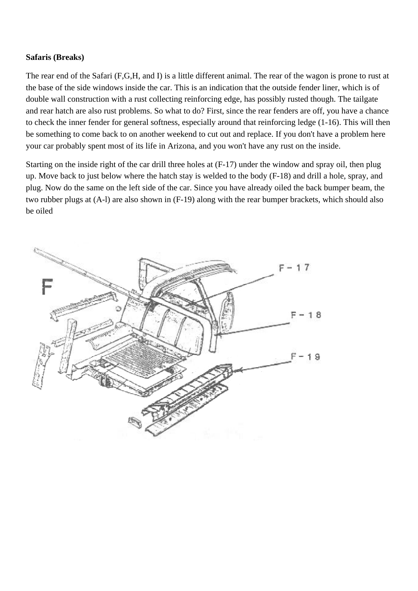### **Safaris (Breaks)**

The rear end of the Safari (F,G,H, and I) is a little different animal. The rear of the wagon is prone to rust at the base of the side windows inside the car. This is an indication that the outside fender liner, which is of double wall construction with a rust collecting reinforcing edge, has possibly rusted though. The tailgate and rear hatch are also rust problems. So what to do? First, since the rear fenders are off, you have a chance to check the inner fender for general softness, especially around that reinforcing ledge (1-16). This will then be something to come back to on another weekend to cut out and replace. If you don't have a problem here your car probably spent most of its life in Arizona, and you won't have any rust on the inside.

Starting on the inside right of the car drill three holes at (F-17) under the window and spray oil, then plug up. Move back to just below where the hatch stay is welded to the body (F-18) and drill a hole, spray, and plug. Now do the same on the left side of the car. Since you have already oiled the back bumper beam, the two rubber plugs at (A-l) are also shown in (F-19) along with the rear bumper brackets, which should also be oiled

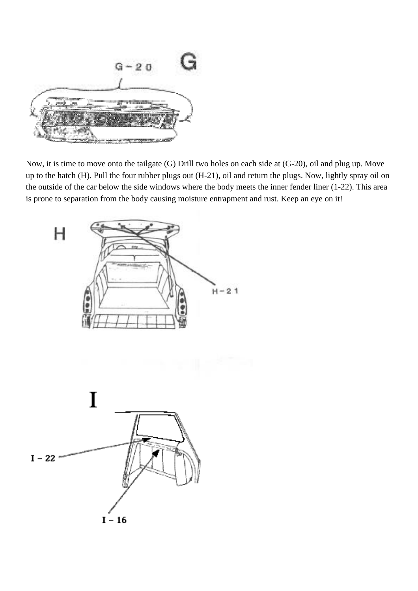

Now, it is time to move onto the tailgate (G) Drill two holes on each side at (G-20), oil and plug up. Move up to the hatch (H). Pull the four rubber plugs out (H-21), oil and return the plugs. Now, lightly spray oil on the outside of the car below the side windows where the body meets the inner fender liner (1-22). This area is prone to separation from the body causing moisture entrapment and rust. Keep an eye on it!

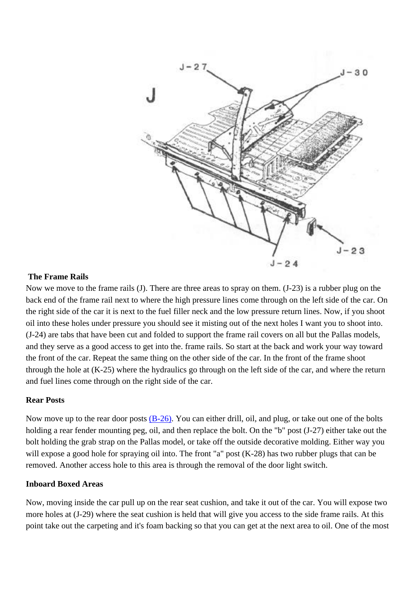

#### **The Frame Rails**

Now we move to the frame rails (J). There are three areas to spray on them. (J-23) is a rubber plug on the back end of the frame rail next to where the high pressure lines come through on the left side of the car. On the right side of the car it is next to the fuel filler neck and the low pressure return lines. Now, if you shoot oil into these holes under pressure you should see it misting out of the next holes I want you to shoot into. (J-24) are tabs that have been cut and folded to support the frame rail covers on all but the Pallas models, and they serve as a good access to get into the. frame rails. So start at the back and work your way toward the front of the car. Repeat the same thing on the other side of the car. In the front of the frame shoot through the hole at (K-25) where the hydraulics go through on the left side of the car, and where the return and fuel lines come through on the right side of the car.

#### **Rear Posts**

Now move up to the rear door posts  $(B-26)$ . You can either drill, oil, and plug, or take out one of the bolts holding a rear fender mounting peg, oil, and then replace the bolt. On the "b" post (J-27) either take out the bolt holding the grab strap on the Pallas model, or take off the outside decorative molding. Either way you will expose a good hole for spraying oil into. The front "a" post (K-28) has two rubber plugs that can be removed. Another access hole to this area is through the removal of the door light switch.

### **Inboard Boxed Areas**

Now, moving inside the car pull up on the rear seat cushion, and take it out of the car. You will expose two more holes at (J-29) where the seat cushion is held that will give you access to the side frame rails. At this point take out the carpeting and it's foam backing so that you can get at the next area to oil. One of the most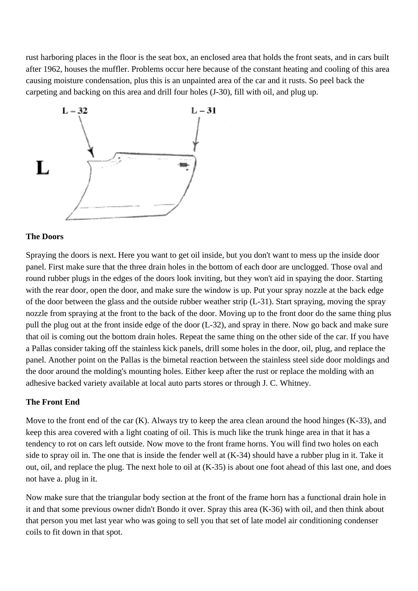rust harboring places in the floor is the seat box, an enclosed area that holds the front seats, and in cars built after 1962, houses the muffler. Problems occur here because of the constant heating and cooling of this area causing moisture condensation, plus this is an unpainted area of the car and it rusts. So peel back the carpeting and backing on this area and drill four holes (J-30), fill with oil, and plug up.



#### **The Doors**

Spraying the doors is next. Here you want to get oil inside, but you don't want to mess up the inside door panel. First make sure that the three drain holes in the bottom of each door are unclogged. Those oval and round rubber plugs in the edges of the doors look inviting, but they won't aid in spaying the door. Starting with the rear door, open the door, and make sure the window is up. Put your spray nozzle at the back edge of the door between the glass and the outside rubber weather strip (L-31). Start spraying, moving the spray nozzle from spraying at the front to the back of the door. Moving up to the front door do the same thing plus pull the plug out at the front inside edge of the door (L-32), and spray in there. Now go back and make sure that oil is coming out the bottom drain holes. Repeat the same thing on the other side of the car. If you have a Pallas consider taking off the stainless kick panels, drill some holes in the door, oil, plug, and replace the panel. Another point on the Pallas is the bimetal reaction between the stainless steel side door moldings and the door around the molding's mounting holes. Either keep after the rust or replace the molding with an adhesive backed variety available at local auto parts stores or through J. C. Whitney.

### **The Front End**

Move to the front end of the car (K). Always try to keep the area clean around the hood hinges (K-33), and keep this area covered with a light coating of oil. This is much like the trunk hinge area in that it has a tendency to rot on cars left outside. Now move to the front frame horns. You will find two holes on each side to spray oil in. The one that is inside the fender well at (K-34) should have a rubber plug in it. Take it out, oil, and replace the plug. The next hole to oil at (K-35) is about one foot ahead of this last one, and does not have a. plug in it.

Now make sure that the triangular body section at the front of the frame horn has a functional drain hole in it and that some previous owner didn't Bondo it over. Spray this area (K-36) with oil, and then think about that person you met last year who was going to sell you that set of late model air conditioning condenser coils to fit down in that spot.